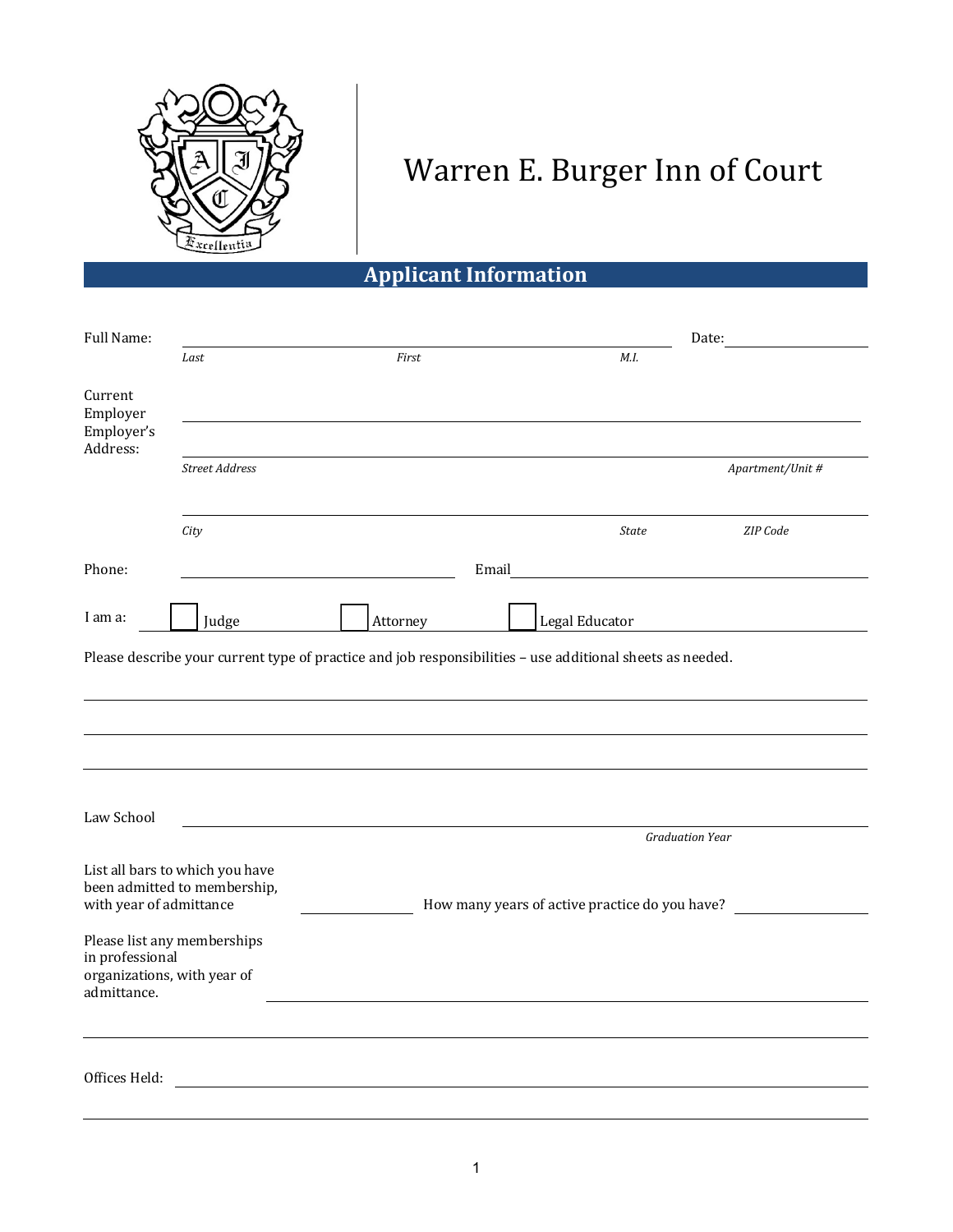

## Warren E. Burger Inn of Court

**Applicant Information**

| Full Name:                                    |                                                                                                                                              |                                                                                                           |                |                        | Date:            |
|-----------------------------------------------|----------------------------------------------------------------------------------------------------------------------------------------------|-----------------------------------------------------------------------------------------------------------|----------------|------------------------|------------------|
|                                               | Last                                                                                                                                         | First                                                                                                     |                | M.I.                   |                  |
| Current<br>Employer<br>Employer's<br>Address: |                                                                                                                                              |                                                                                                           |                |                        |                  |
|                                               | <b>Street Address</b>                                                                                                                        |                                                                                                           |                |                        | Apartment/Unit # |
|                                               | City                                                                                                                                         |                                                                                                           |                | <b>State</b>           | ZIP Code         |
| Phone:                                        |                                                                                                                                              |                                                                                                           | Email          |                        |                  |
| I am a:                                       | Judge                                                                                                                                        | Attorney                                                                                                  | Legal Educator |                        |                  |
|                                               |                                                                                                                                              | Please describe your current type of practice and job responsibilities - use additional sheets as needed. |                |                        |                  |
| Law School                                    |                                                                                                                                              |                                                                                                           |                | <b>Graduation Year</b> |                  |
|                                               | List all bars to which you have<br>been admitted to membership,<br>with year of admittance<br>How many years of active practice do you have? |                                                                                                           |                |                        |                  |
| in professional<br>admittance.                | Please list any memberships<br>organizations, with year of                                                                                   |                                                                                                           |                |                        |                  |
|                                               |                                                                                                                                              |                                                                                                           |                |                        |                  |
| Offices Held:                                 |                                                                                                                                              |                                                                                                           |                |                        |                  |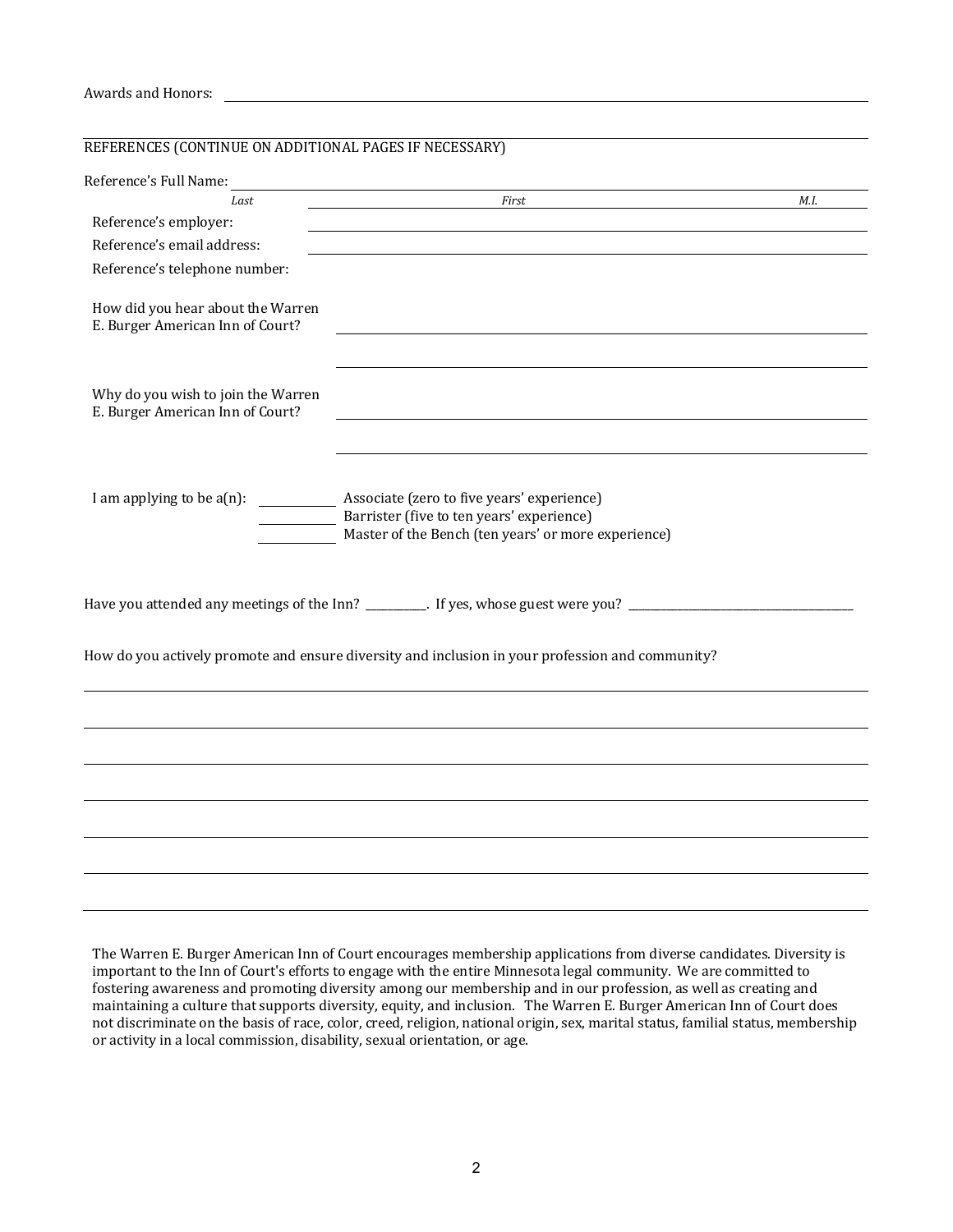## Awards and Honors:

| REFERENCES (CONTINUE ON ADDITIONAL PAGES IF NECESSARY)                                |                                                                                                                                                |      |
|---------------------------------------------------------------------------------------|------------------------------------------------------------------------------------------------------------------------------------------------|------|
| Reference's Full Name:                                                                |                                                                                                                                                |      |
| Last                                                                                  | First                                                                                                                                          | M.I. |
| Reference's employer:                                                                 |                                                                                                                                                |      |
| Reference's email address:                                                            |                                                                                                                                                |      |
| Reference's telephone number:                                                         |                                                                                                                                                |      |
| How did you hear about the Warren<br>E. Burger American Inn of Court?                 |                                                                                                                                                |      |
| Why do you wish to join the Warren<br>E. Burger American Inn of Court?                |                                                                                                                                                |      |
| I am applying to be $a(n)$ :<br>$\overline{\phantom{a}}$ and $\overline{\phantom{a}}$ | Associate (zero to five years' experience)<br>Barrister (five to ten years' experience)<br>Master of the Bench (ten years' or more experience) |      |
|                                                                                       | Have you attended any meetings of the Inn? _________. If yes, whose guest were you? _____________________                                      |      |
|                                                                                       | How do you actively promote and ensure diversity and inclusion in your profession and community?                                               |      |
|                                                                                       |                                                                                                                                                |      |
|                                                                                       |                                                                                                                                                |      |
|                                                                                       |                                                                                                                                                |      |
|                                                                                       |                                                                                                                                                |      |
|                                                                                       |                                                                                                                                                |      |
|                                                                                       |                                                                                                                                                |      |

The Warren E. Burger American Inn of Court encourages membership applications from diverse candidates. Diversity is important to the Inn of Court's efforts to engage with the entire Minnesota legal community. We are committed to fostering awareness and promoting diversity among our membership and in our profession, as well as creating and maintaining a culture that supports diversity, equity, and inclusion. The Warren E. Burger American Inn of Court does not discriminate on the basis of race, color, creed, religion, national origin, sex, marital status, familial status, membership or activity in a local commission, disability, sexual orientation, or age.